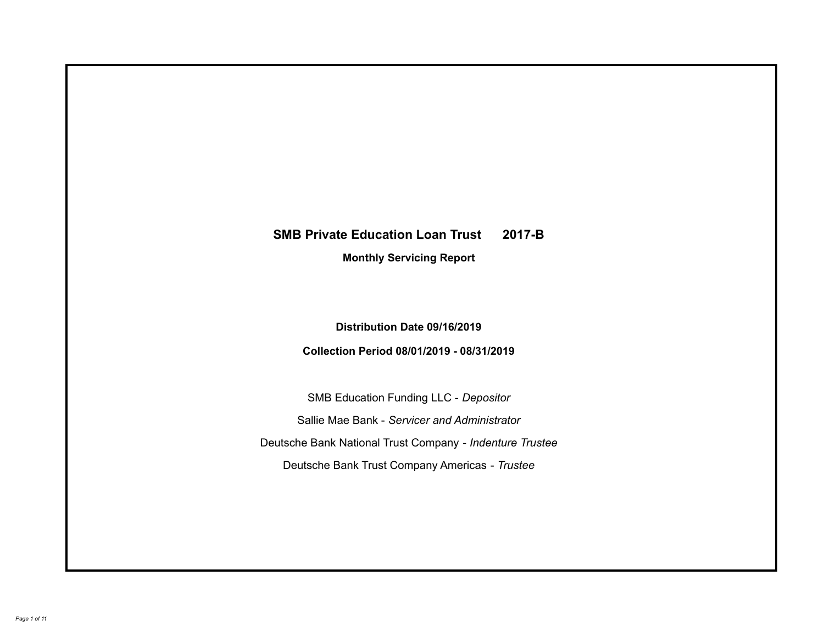# **SMB Private Education Loan Trust 2017-B Monthly Servicing Report**

### **Distribution Date 09/16/2019**

### **Collection Period 08/01/2019 - 08/31/2019**

SMB Education Funding LLC - *Depositor* Sallie Mae Bank - *Servicer and Administrator* Deutsche Bank National Trust Company - *Indenture Trustee* Deutsche Bank Trust Company Americas - *Trustee*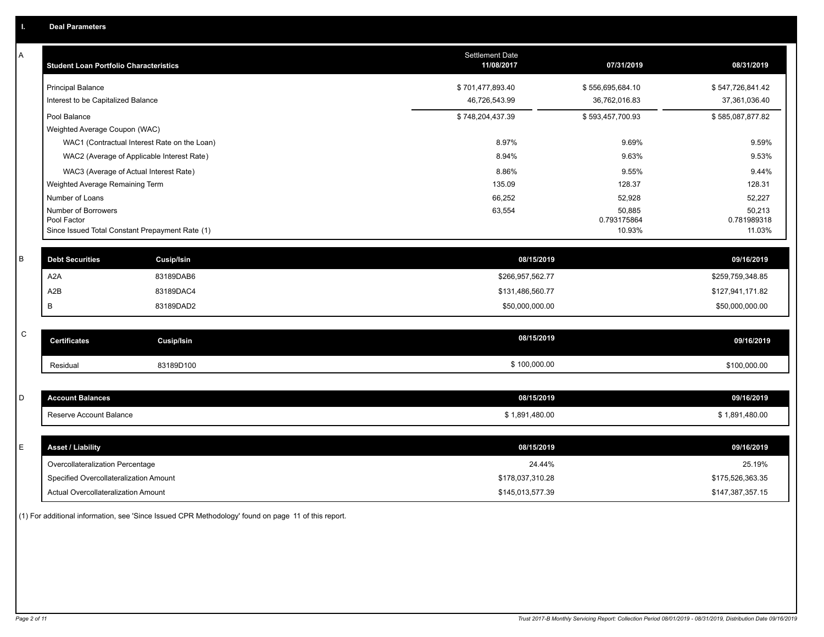| Α | <b>Student Loan Portfolio Characteristics</b>                  | <b>Settlement Date</b><br>11/08/2017 | 07/31/2019            | 08/31/2019            |
|---|----------------------------------------------------------------|--------------------------------------|-----------------------|-----------------------|
|   | <b>Principal Balance</b>                                       | \$701,477,893.40                     | \$556,695,684.10      | \$547,726,841.42      |
|   | Interest to be Capitalized Balance                             | 46,726,543.99                        | 36,762,016.83         | 37,361,036.40         |
|   | Pool Balance                                                   | \$748,204,437.39                     | \$593,457,700.93      | \$585,087,877.82      |
|   | Weighted Average Coupon (WAC)                                  |                                      |                       |                       |
|   | WAC1 (Contractual Interest Rate on the Loan)                   | 8.97%                                | 9.69%                 | 9.59%                 |
|   | WAC2 (Average of Applicable Interest Rate)                     | 8.94%                                | 9.63%                 | 9.53%                 |
|   | WAC3 (Average of Actual Interest Rate)                         | 8.86%                                | 9.55%                 | 9.44%                 |
|   | Weighted Average Remaining Term                                | 135.09                               | 128.37                | 128.31                |
|   | Number of Loans                                                | 66,252                               | 52,928                | 52,227                |
|   | Number of Borrowers                                            | 63,554                               | 50,885                | 50,213                |
|   | Pool Factor<br>Since Issued Total Constant Prepayment Rate (1) |                                      | 0.793175864<br>10.93% | 0.781989318<br>11.03% |
|   |                                                                |                                      |                       |                       |
| B | <b>Debt Securities</b><br><b>Cusip/Isin</b>                    | 08/15/2019                           |                       | 09/16/2019            |
|   | A <sub>2</sub> A<br>83189DAB6                                  | \$266,957,562.77                     |                       | \$259,759,348.85      |
|   | A <sub>2</sub> B<br>83189DAC4                                  | \$131,486,560.77                     |                       | \$127,941,171.82      |
|   | B<br>83189DAD2                                                 | \$50,000,000.00                      |                       | \$50,000,000.00       |
|   |                                                                |                                      |                       |                       |
| C | <b>Certificates</b><br>Cusip/Isin                              | 08/15/2019                           |                       | 09/16/2019            |
|   | 83189D100<br>Residual                                          | \$100,000.00                         |                       | \$100,000.00          |
|   |                                                                |                                      |                       |                       |
| D | <b>Account Balances</b>                                        | 08/15/2019                           |                       | 09/16/2019            |
|   | Reserve Account Balance                                        | \$1,891,480.00                       |                       | \$1,891,480.00        |
|   |                                                                |                                      |                       |                       |
| E | <b>Asset / Liability</b>                                       | 08/15/2019                           |                       | 09/16/2019            |
|   | Overcollateralization Percentage                               | 24.44%                               |                       | 25.19%                |
|   | Specified Overcollateralization Amount                         | \$178,037,310.28                     |                       | \$175,526,363.35      |
|   | Actual Overcollateralization Amount                            | \$145,013,577.39                     |                       | \$147,387,357.15      |

(1) For additional information, see 'Since Issued CPR Methodology' found on page 11 of this report.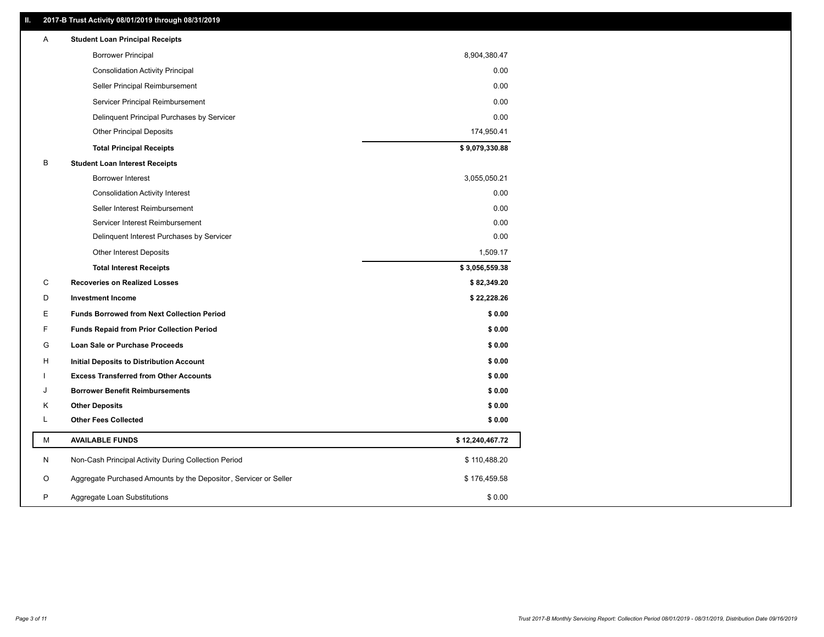### **II. 2017-B Trust Activity 08/01/2019 through 08/31/2019**

| Α | <b>Student Loan Principal Receipts</b>                           |                 |
|---|------------------------------------------------------------------|-----------------|
|   | <b>Borrower Principal</b>                                        | 8,904,380.47    |
|   | <b>Consolidation Activity Principal</b>                          | 0.00            |
|   | Seller Principal Reimbursement                                   | 0.00            |
|   | Servicer Principal Reimbursement                                 | 0.00            |
|   | Delinquent Principal Purchases by Servicer                       | 0.00            |
|   | <b>Other Principal Deposits</b>                                  | 174,950.41      |
|   | <b>Total Principal Receipts</b>                                  | \$9,079,330.88  |
| В | <b>Student Loan Interest Receipts</b>                            |                 |
|   | <b>Borrower Interest</b>                                         | 3,055,050.21    |
|   | <b>Consolidation Activity Interest</b>                           | 0.00            |
|   | Seller Interest Reimbursement                                    | 0.00            |
|   | Servicer Interest Reimbursement                                  | 0.00            |
|   | Delinquent Interest Purchases by Servicer                        | 0.00            |
|   | <b>Other Interest Deposits</b>                                   | 1,509.17        |
|   | <b>Total Interest Receipts</b>                                   | \$3,056,559.38  |
| C | <b>Recoveries on Realized Losses</b>                             | \$82,349.20     |
| D | <b>Investment Income</b>                                         | \$22,228.26     |
| Ε | <b>Funds Borrowed from Next Collection Period</b>                | \$0.00          |
| F | <b>Funds Repaid from Prior Collection Period</b>                 | \$0.00          |
| G | <b>Loan Sale or Purchase Proceeds</b>                            | \$0.00          |
| н | Initial Deposits to Distribution Account                         | \$0.00          |
|   | <b>Excess Transferred from Other Accounts</b>                    | \$0.00          |
| J | <b>Borrower Benefit Reimbursements</b>                           | \$0.00          |
| Κ | <b>Other Deposits</b>                                            | \$0.00          |
| L | <b>Other Fees Collected</b>                                      | \$0.00          |
| M | <b>AVAILABLE FUNDS</b>                                           | \$12,240,467.72 |
| N | Non-Cash Principal Activity During Collection Period             | \$110,488.20    |
| O | Aggregate Purchased Amounts by the Depositor, Servicer or Seller | \$176,459.58    |
| P |                                                                  |                 |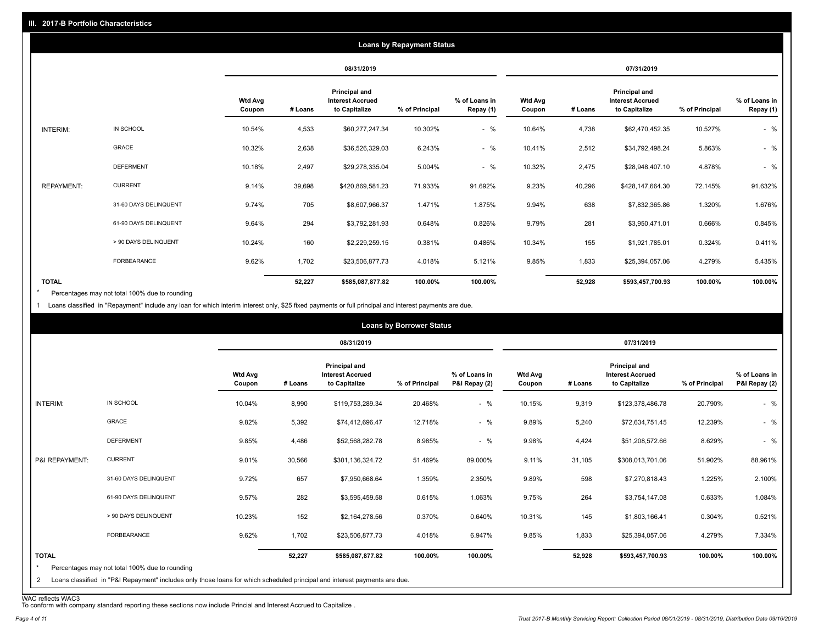| <b>Loans by Repayment Status</b> |                       |                          |            |                                                                  |                |                            |                          |            |                                                           |                |                            |
|----------------------------------|-----------------------|--------------------------|------------|------------------------------------------------------------------|----------------|----------------------------|--------------------------|------------|-----------------------------------------------------------|----------------|----------------------------|
|                                  |                       |                          | 08/31/2019 |                                                                  |                |                            |                          | 07/31/2019 |                                                           |                |                            |
|                                  |                       | <b>Wtd Avg</b><br>Coupon | # Loans    | <b>Principal and</b><br><b>Interest Accrued</b><br>to Capitalize | % of Principal | % of Loans in<br>Repay (1) | <b>Wtd Avg</b><br>Coupon | # Loans    | Principal and<br><b>Interest Accrued</b><br>to Capitalize | % of Principal | % of Loans in<br>Repay (1) |
| INTERIM:                         | IN SCHOOL             | 10.54%                   | 4,533      | \$60,277,247.34                                                  | 10.302%        | $-$ %                      | 10.64%                   | 4,738      | \$62,470,452.35                                           | 10.527%        | $-$ %                      |
|                                  | <b>GRACE</b>          | 10.32%                   | 2,638      | \$36,526,329.03                                                  | 6.243%         | $-$ %                      | 10.41%                   | 2,512      | \$34,792,498.24                                           | 5.863%         | $-$ %                      |
|                                  | <b>DEFERMENT</b>      | 10.18%                   | 2,497      | \$29,278,335.04                                                  | 5.004%         | $-$ %                      | 10.32%                   | 2,475      | \$28,948,407.10                                           | 4.878%         | $-$ %                      |
| <b>REPAYMENT:</b>                | <b>CURRENT</b>        | 9.14%                    | 39,698     | \$420,869,581.23                                                 | 71.933%        | 91.692%                    | 9.23%                    | 40,296     | \$428,147,664.30                                          | 72.145%        | 91.632%                    |
|                                  | 31-60 DAYS DELINQUENT | 9.74%                    | 705        | \$8,607,966.37                                                   | 1.471%         | 1.875%                     | 9.94%                    | 638        | \$7,832,365.86                                            | 1.320%         | 1.676%                     |
|                                  | 61-90 DAYS DELINQUENT | 9.64%                    | 294        | \$3,792,281.93                                                   | 0.648%         | 0.826%                     | 9.79%                    | 281        | \$3,950,471.01                                            | 0.666%         | 0.845%                     |
|                                  | > 90 DAYS DELINQUENT  | 10.24%                   | 160        | \$2,229,259.15                                                   | 0.381%         | 0.486%                     | 10.34%                   | 155        | \$1,921,785.01                                            | 0.324%         | 0.411%                     |
|                                  | FORBEARANCE           | 9.62%                    | 1,702      | \$23,506,877.73                                                  | 4.018%         | 5.121%                     | 9.85%                    | 1,833      | \$25,394,057.06                                           | 4.279%         | 5.435%                     |
| <b>TOTAL</b>                     |                       |                          | 52,227     | \$585,087,877.82                                                 | 100.00%        | 100.00%                    |                          | 52,928     | \$593,457,700.93                                          | 100.00%        | 100.00%                    |

Percentages may not total 100% due to rounding \*

1 Loans classified in "Repayment" include any loan for which interim interest only, \$25 fixed payments or full principal and interest payments are due.

|                         |                                                                                                                            |                          |            |                                                           | <b>Loans by Borrower Status</b> |                                |                          |         |                                                           |                |                                |
|-------------------------|----------------------------------------------------------------------------------------------------------------------------|--------------------------|------------|-----------------------------------------------------------|---------------------------------|--------------------------------|--------------------------|---------|-----------------------------------------------------------|----------------|--------------------------------|
|                         |                                                                                                                            |                          | 08/31/2019 |                                                           |                                 | 07/31/2019                     |                          |         |                                                           |                |                                |
|                         |                                                                                                                            | <b>Wtd Avg</b><br>Coupon | # Loans    | Principal and<br><b>Interest Accrued</b><br>to Capitalize | % of Principal                  | % of Loans in<br>P&I Repay (2) | <b>Wtd Avg</b><br>Coupon | # Loans | Principal and<br><b>Interest Accrued</b><br>to Capitalize | % of Principal | % of Loans in<br>P&I Repay (2) |
| INTERIM:                | IN SCHOOL                                                                                                                  | 10.04%                   | 8,990      | \$119,753,289.34                                          | 20.468%                         | $-$ %                          | 10.15%                   | 9,319   | \$123,378,486.78                                          | 20.790%        | $-$ %                          |
|                         | GRACE                                                                                                                      | 9.82%                    | 5,392      | \$74,412,696.47                                           | 12.718%                         | $-$ %                          | 9.89%                    | 5,240   | \$72,634,751.45                                           | 12.239%        | $-$ %                          |
|                         | <b>DEFERMENT</b>                                                                                                           | 9.85%                    | 4,486      | \$52,568,282.78                                           | 8.985%                          | $-$ %                          | 9.98%                    | 4,424   | \$51,208,572.66                                           | 8.629%         | $-$ %                          |
| P&I REPAYMENT:          | <b>CURRENT</b>                                                                                                             | 9.01%                    | 30,566     | \$301,136,324.72                                          | 51.469%                         | 89.000%                        | 9.11%                    | 31,105  | \$308,013,701.06                                          | 51.902%        | 88.961%                        |
|                         | 31-60 DAYS DELINQUENT                                                                                                      | 9.72%                    | 657        | \$7,950,668.64                                            | 1.359%                          | 2.350%                         | 9.89%                    | 598     | \$7,270,818.43                                            | 1.225%         | 2.100%                         |
|                         | 61-90 DAYS DELINQUENT                                                                                                      | 9.57%                    | 282        | \$3,595,459.58                                            | 0.615%                          | 1.063%                         | 9.75%                    | 264     | \$3,754,147.08                                            | 0.633%         | 1.084%                         |
|                         | > 90 DAYS DELINQUENT                                                                                                       | 10.23%                   | 152        | \$2,164,278.56                                            | 0.370%                          | 0.640%                         | 10.31%                   | 145     | \$1,803,166.41                                            | 0.304%         | 0.521%                         |
|                         | <b>FORBEARANCE</b>                                                                                                         | 9.62%                    | 1,702      | \$23,506,877.73                                           | 4.018%                          | 6.947%                         | 9.85%                    | 1,833   | \$25,394,057.06                                           | 4.279%         | 7.334%                         |
| <b>TOTAL</b><br>$\star$ | Percentages may not total 100% due to rounding                                                                             |                          | 52,227     | \$585,087,877.82                                          | 100.00%                         | 100.00%                        |                          | 52,928  | \$593,457,700.93                                          | 100.00%        | 100.00%                        |
| 2                       | Loans classified in "P&I Repayment" includes only those loans for which scheduled principal and interest payments are due. |                          |            |                                                           |                                 |                                |                          |         |                                                           |                |                                |

WAC reflects WAC3 To conform with company standard reporting these sections now include Princial and Interest Accrued to Capitalize .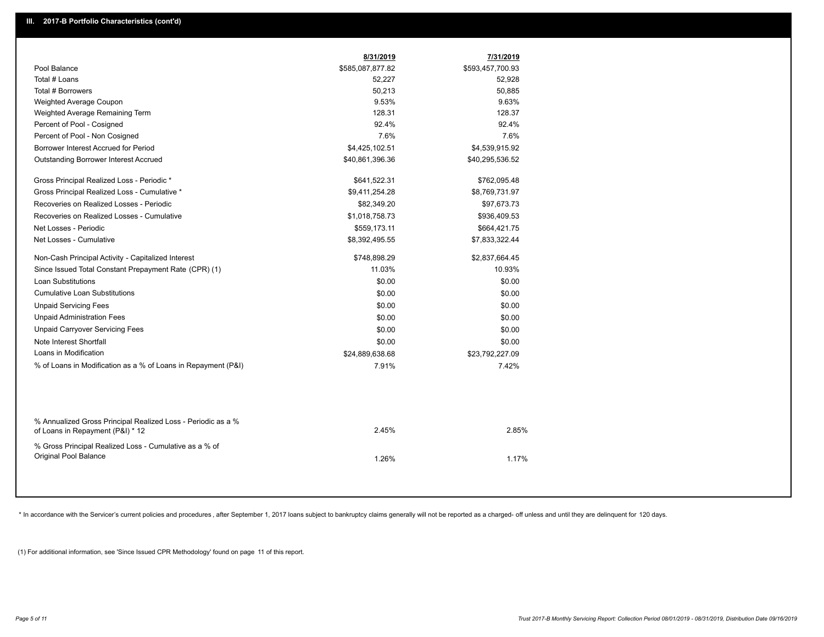|                                                                                                  | 8/31/2019        | 7/31/2019        |  |
|--------------------------------------------------------------------------------------------------|------------------|------------------|--|
| Pool Balance                                                                                     | \$585,087,877.82 | \$593,457,700.93 |  |
| Total # Loans                                                                                    | 52,227           | 52,928           |  |
| Total # Borrowers                                                                                | 50,213           | 50,885           |  |
| Weighted Average Coupon                                                                          | 9.53%            | 9.63%            |  |
| Weighted Average Remaining Term                                                                  | 128.31           | 128.37           |  |
| Percent of Pool - Cosigned                                                                       | 92.4%            | 92.4%            |  |
| Percent of Pool - Non Cosigned                                                                   | 7.6%             | 7.6%             |  |
| Borrower Interest Accrued for Period                                                             | \$4,425,102.51   | \$4,539,915.92   |  |
| Outstanding Borrower Interest Accrued                                                            | \$40,861,396.36  | \$40,295,536.52  |  |
| Gross Principal Realized Loss - Periodic *                                                       | \$641,522.31     | \$762,095.48     |  |
| Gross Principal Realized Loss - Cumulative *                                                     | \$9,411,254.28   | \$8,769,731.97   |  |
| Recoveries on Realized Losses - Periodic                                                         | \$82,349.20      | \$97,673.73      |  |
| Recoveries on Realized Losses - Cumulative                                                       | \$1,018,758.73   | \$936,409.53     |  |
| Net Losses - Periodic                                                                            | \$559,173.11     | \$664,421.75     |  |
| Net Losses - Cumulative                                                                          | \$8,392,495.55   | \$7,833,322.44   |  |
| Non-Cash Principal Activity - Capitalized Interest                                               | \$748,898.29     | \$2,837,664.45   |  |
| Since Issued Total Constant Prepayment Rate (CPR) (1)                                            | 11.03%           | 10.93%           |  |
| <b>Loan Substitutions</b>                                                                        | \$0.00           | \$0.00           |  |
| <b>Cumulative Loan Substitutions</b>                                                             | \$0.00           | \$0.00           |  |
| <b>Unpaid Servicing Fees</b>                                                                     | \$0.00           | \$0.00           |  |
| <b>Unpaid Administration Fees</b>                                                                | \$0.00           | \$0.00           |  |
| <b>Unpaid Carryover Servicing Fees</b>                                                           | \$0.00           | \$0.00           |  |
| Note Interest Shortfall                                                                          | \$0.00           | \$0.00           |  |
| Loans in Modification                                                                            | \$24,889,638.68  | \$23,792,227.09  |  |
| % of Loans in Modification as a % of Loans in Repayment (P&I)                                    | 7.91%            | 7.42%            |  |
|                                                                                                  |                  |                  |  |
| % Annualized Gross Principal Realized Loss - Periodic as a %<br>of Loans in Repayment (P&I) * 12 | 2.45%            | 2.85%            |  |
| % Gross Principal Realized Loss - Cumulative as a % of<br>Original Pool Balance                  | 1.26%            | 1.17%            |  |

\* In accordance with the Servicer's current policies and procedures, after September 1, 2017 loans subject to bankruptcy claims generally will not be reported as a charged- off unless and until they are delinquent for 120

(1) For additional information, see 'Since Issued CPR Methodology' found on page 11 of this report.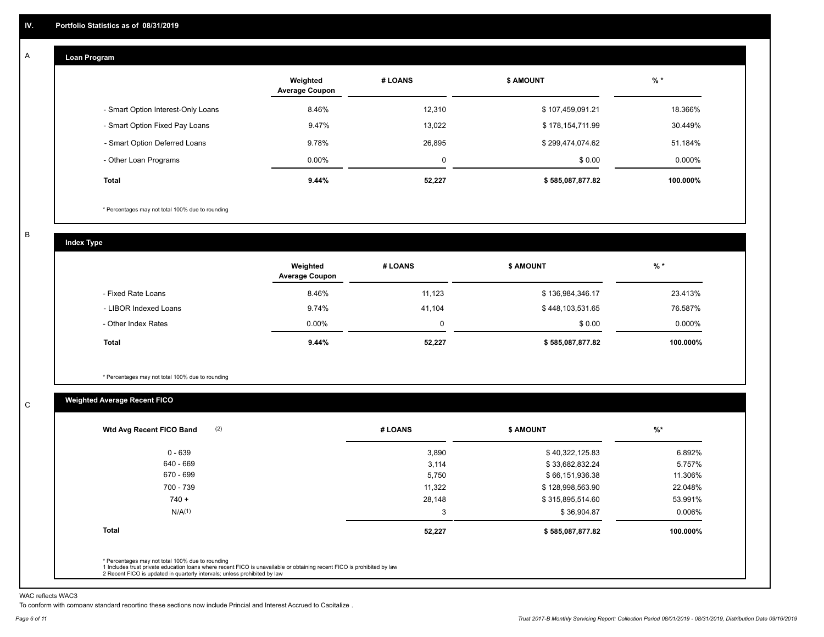#### **Loan Program**  A

|                                    | Weighted<br><b>Average Coupon</b> | # LOANS | <b>\$ AMOUNT</b> | $%$ *     |
|------------------------------------|-----------------------------------|---------|------------------|-----------|
| - Smart Option Interest-Only Loans | 8.46%                             | 12,310  | \$107,459,091.21 | 18.366%   |
| - Smart Option Fixed Pay Loans     | 9.47%                             | 13.022  | \$178,154,711.99 | 30.449%   |
| - Smart Option Deferred Loans      | 9.78%                             | 26.895  | \$299,474,074.62 | 51.184%   |
| - Other Loan Programs              | $0.00\%$                          | 0       | \$0.00           | $0.000\%$ |
| <b>Total</b>                       | 9.44%                             | 52,227  | \$585,087,877.82 | 100.000%  |

\* Percentages may not total 100% due to rounding

B

C

**Index Type**

|                       | Weighted<br><b>Average Coupon</b> | # LOANS     | <b>\$ AMOUNT</b> | $%$ *     |
|-----------------------|-----------------------------------|-------------|------------------|-----------|
| - Fixed Rate Loans    | 8.46%                             | 11,123      | \$136,984,346.17 | 23.413%   |
| - LIBOR Indexed Loans | 9.74%                             | 41.104      | \$448,103,531.65 | 76.587%   |
| - Other Index Rates   | $0.00\%$                          | $\mathbf 0$ | \$0.00           | $0.000\%$ |
| <b>Total</b>          | 9.44%                             | 52,227      | \$585,087,877.82 | 100.000%  |

\* Percentages may not total 100% due to rounding

### **Weighted Average Recent FICO**

| 3,890<br>3,114 | \$40,322,125.83  | 6.892%   |
|----------------|------------------|----------|
|                |                  |          |
|                | \$33,682,832.24  | 5.757%   |
| 5,750          | \$66,151,936.38  | 11.306%  |
| 11,322         | \$128,998,563.90 | 22.048%  |
| 28,148         | \$315,895,514.60 | 53.991%  |
| 3              | \$36,904.87      | 0.006%   |
| 52,227         | \$585,087,877.82 | 100.000% |
|                |                  |          |

WAC reflects WAC3

To conform with company standard reporting these sections now include Princial and Interest Accrued to Capitalize .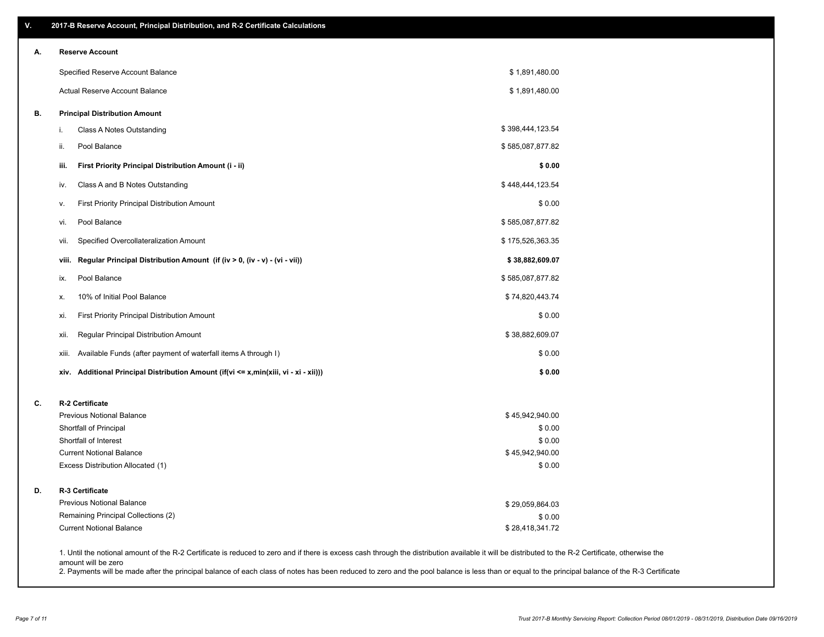| ۷. | 2017-B Reserve Account, Principal Distribution, and R-2 Certificate Calculations                                                                                                                                          |                  |  |
|----|---------------------------------------------------------------------------------------------------------------------------------------------------------------------------------------------------------------------------|------------------|--|
| А. | <b>Reserve Account</b>                                                                                                                                                                                                    |                  |  |
|    | Specified Reserve Account Balance                                                                                                                                                                                         | \$1,891,480.00   |  |
|    | Actual Reserve Account Balance                                                                                                                                                                                            | \$1,891,480.00   |  |
| В. | <b>Principal Distribution Amount</b>                                                                                                                                                                                      |                  |  |
|    | Class A Notes Outstanding<br>i.                                                                                                                                                                                           | \$398,444,123.54 |  |
|    | Pool Balance<br>ii.                                                                                                                                                                                                       | \$585,087,877.82 |  |
|    | First Priority Principal Distribution Amount (i - ii)<br>iii.                                                                                                                                                             | \$0.00           |  |
|    | Class A and B Notes Outstanding<br>iv.                                                                                                                                                                                    | \$448,444,123.54 |  |
|    | First Priority Principal Distribution Amount<br>v.                                                                                                                                                                        | \$0.00           |  |
|    | Pool Balance<br>vi.                                                                                                                                                                                                       | \$585,087,877.82 |  |
|    | Specified Overcollateralization Amount<br>vii.                                                                                                                                                                            | \$175,526,363.35 |  |
|    | Regular Principal Distribution Amount (if (iv > 0, (iv - v) - (vi - vii))<br>viii.                                                                                                                                        | \$38,882,609.07  |  |
|    | Pool Balance<br>ix.                                                                                                                                                                                                       | \$585,087,877.82 |  |
|    | 10% of Initial Pool Balance<br>х.                                                                                                                                                                                         | \$74,820,443.74  |  |
|    | First Priority Principal Distribution Amount<br>xi.                                                                                                                                                                       | \$0.00           |  |
|    | Regular Principal Distribution Amount<br>xii.                                                                                                                                                                             | \$38,882,609.07  |  |
|    | Available Funds (after payment of waterfall items A through I)<br>xiii.                                                                                                                                                   | \$0.00           |  |
|    | Additional Principal Distribution Amount (if(vi <= x,min(xiii, vi - xi - xii)))<br>xiv.                                                                                                                                   | \$0.00           |  |
| C. | R-2 Certificate                                                                                                                                                                                                           |                  |  |
|    | <b>Previous Notional Balance</b>                                                                                                                                                                                          | \$45,942,940.00  |  |
|    | Shortfall of Principal                                                                                                                                                                                                    | \$0.00           |  |
|    | Shortfall of Interest                                                                                                                                                                                                     | \$0.00           |  |
|    | <b>Current Notional Balance</b>                                                                                                                                                                                           | \$45,942,940.00  |  |
|    | Excess Distribution Allocated (1)                                                                                                                                                                                         | \$0.00           |  |
| D. | R-3 Certificate                                                                                                                                                                                                           |                  |  |
|    | <b>Previous Notional Balance</b>                                                                                                                                                                                          | \$29,059,864.03  |  |
|    | Remaining Principal Collections (2)                                                                                                                                                                                       | \$0.00           |  |
|    | <b>Current Notional Balance</b>                                                                                                                                                                                           | \$28,418,341.72  |  |
|    | 1. Until the notional amount of the R-2 Certificate is reduced to zero and if there is excess cash through the distribution available it will be distributed to the R-2 Certificate, otherwise the<br>amount will be zero |                  |  |

2. Payments will be made after the principal balance of each class of notes has been reduced to zero and the pool balance is less than or equal to the principal balance of the R-3 Certificate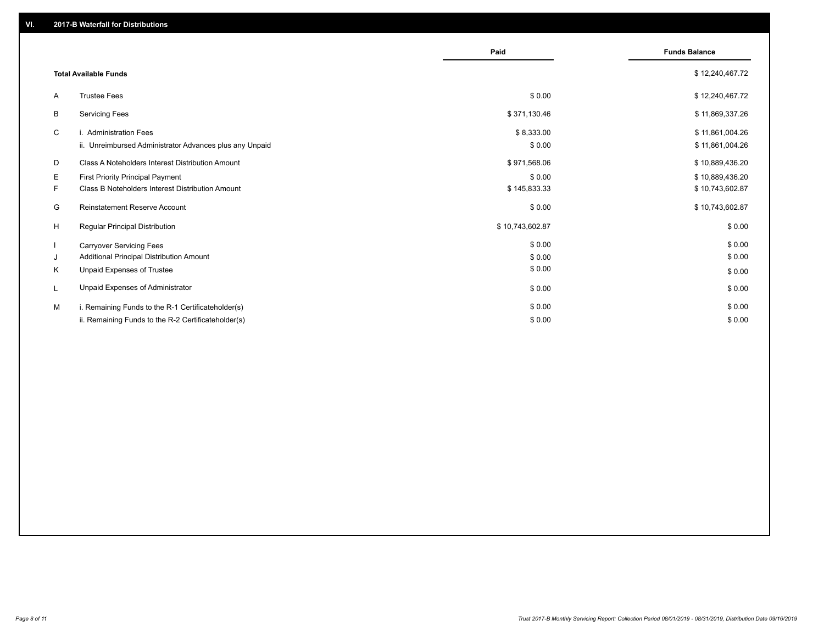|    |                                                         | Paid            | <b>Funds Balance</b> |
|----|---------------------------------------------------------|-----------------|----------------------|
|    | <b>Total Available Funds</b>                            |                 | \$12,240,467.72      |
| A  | <b>Trustee Fees</b>                                     | \$0.00          | \$12,240,467.72      |
| В  | <b>Servicing Fees</b>                                   | \$371,130.46    | \$11,869,337.26      |
| C  | i. Administration Fees                                  | \$8,333.00      | \$11,861,004.26      |
|    | ii. Unreimbursed Administrator Advances plus any Unpaid | \$0.00          | \$11,861,004.26      |
| D  | Class A Noteholders Interest Distribution Amount        | \$971,568.06    | \$10,889,436.20      |
| Е  | First Priority Principal Payment                        | \$0.00          | \$10,889,436.20      |
| F. | Class B Noteholders Interest Distribution Amount        | \$145,833.33    | \$10,743,602.87      |
| G  | <b>Reinstatement Reserve Account</b>                    | \$0.00          | \$10,743,602.87      |
| H  | <b>Regular Principal Distribution</b>                   | \$10,743,602.87 | \$0.00               |
|    | <b>Carryover Servicing Fees</b>                         | \$0.00          | \$0.00               |
| J  | Additional Principal Distribution Amount                | \$0.00          | \$0.00               |
| K  | Unpaid Expenses of Trustee                              | \$0.00          | \$0.00               |
|    | Unpaid Expenses of Administrator                        | \$0.00          | \$0.00               |
| м  | i. Remaining Funds to the R-1 Certificateholder(s)      | \$0.00          | \$0.00               |
|    | ii. Remaining Funds to the R-2 Certificateholder(s)     | \$0.00          | \$0.00               |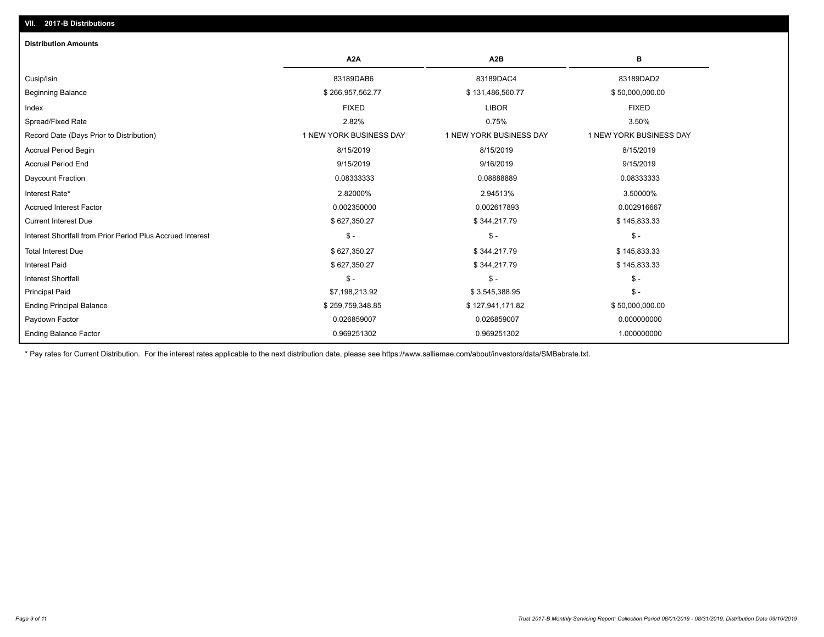## Ending Balance Factor Paydown Factor 0.026859007 0.026859007 0.000000000 Ending Principal Balance \$ 259,759,348.85 \$ 127,941,171.82 \$ 50,000,000.000.00 Principal Paid \$7,198,213.92 \$ 3,545,388.95 \$ - Interest Shortfall \$ - \$ - \$ - Interest Paid \$ 627,350.27 \$ 344,217.79 \$ 145,833.33 Total Interest Due \$ 627,350.27 \$ 344,217.79 \$ 145,833.33 Interest Shortfall from Prior Period Plus Accrued Interest \$ - \$ - \$ - Current Interest Due \$ 627,350.27 \$ 344,217.79 \$ 145,833.33 Accrued Interest Factor 0.002350000 0.002617893 0.002916667 Interest Rate\* 2.82000% 2.94513% 3.50000% Daycount Fraction 0.08333333 0.08888889 0.08333333 Accrual Period End 9/15/2019 9/16/2019 9/15/2019 Accrual Period Begin 8/15/2019 8/15/2019 8/15/2019 Record Date (Days Prior to Distribution) 1 1 NEW YORK BUSINESS DAY 1 NEW YORK BUSINESS DAY 1 NEW YORK BUSINESS DAY Spread/Fixed Rate 2.82% 0.75% 3.50% Index FIXED LIBOR FIXED Beginning Balance \$ 266,957,562.77 \$ \$50,000,000.00 \$ \$131,486,560.77 \$ \$50,000,000.00 \$ \$50,000,000.00 Cusip/Isin 83189DAB6 83189DAC4 83189DAD2 **A2A A2B B** 0.969251302 0.969251302 1.000000000 **Distribution Amounts**

\* Pay rates for Current Distribution. For the interest rates applicable to the next distribution date, please see https://www.salliemae.com/about/investors/data/SMBabrate.txt.

**VII. 2017-B Distributions**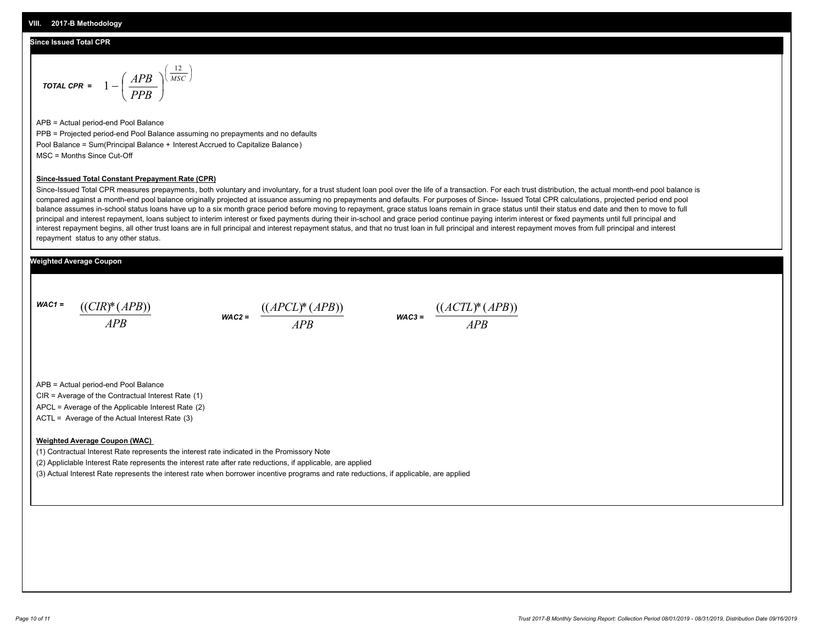### **Since Issued Total CPR**

$$
\text{total CPR} = 1 - \left(\frac{APB}{PPB}\right)^{\left(\frac{12}{MSC}\right)}
$$

APB = Actual period-end Pool Balance PPB = Projected period-end Pool Balance assuming no prepayments and no defaults Pool Balance = Sum(Principal Balance + Interest Accrued to Capitalize Balance) MSC = Months Since Cut-Off

#### **Since-Issued Total Constant Prepayment Rate (CPR)**

Since-Issued Total CPR measures prepayments, both voluntary and involuntary, for a trust student loan pool over the life of a transaction. For each trust distribution, the actual month-end pool balance is compared against a month-end pool balance originally projected at issuance assuming no prepayments and defaults. For purposes of Since- Issued Total CPR calculations, projected period end pool balance assumes in-school status loans have up to a six month grace period before moving to repayment, grace status loans remain in grace status until their status end date and then to move to full principal and interest repayment, loans subject to interim interest or fixed payments during their in-school and grace period continue paying interim interest or fixed payments until full principal and interest repayment begins, all other trust loans are in full principal and interest repayment status, and that no trust loan in full principal and interest repayment moves from full principal and interest repayment status to any other status.

### **Weighted Average Coupon**

*WAC1 = APB* ((*CIR*)\*(*APB*))

*WAC2 = APB*  $\frac{((APCL)^{*}(APB))}{APB}$  wac<sub>3</sub> =  $\frac{((ACTL)^{*}(A)P}{APB}$ 



APB = Actual period-end Pool Balance

CIR = Average of the Contractual Interest Rate (1)

APCL = Average of the Applicable Interest Rate (2)

ACTL = Average of the Actual Interest Rate (3)

#### **Weighted Average Coupon (WAC)**

(1) Contractual Interest Rate represents the interest rate indicated in the Promissory Note

(2) Appliclable Interest Rate represents the interest rate after rate reductions, if applicable, are applied

(3) Actual Interest Rate represents the interest rate when borrower incentive programs and rate reductions, if applicable, are applied